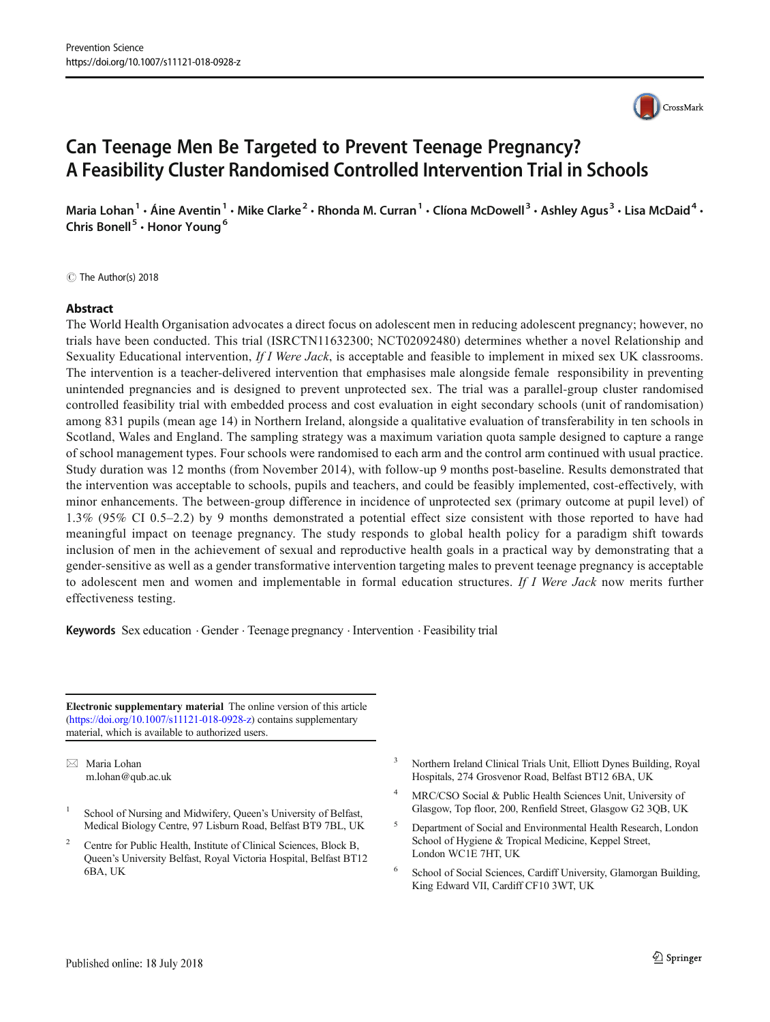# Can Teenage Men Be Targeted to Prevent Teenage Pregnancy? A Feasibility Cluster Randomised Controlled Intervention Trial in Schools

Maria Lohan<sup>1</sup> • Áine Aventin<sup>1</sup> • Mike Clarke<sup>2</sup> • Rhonda M. Curran<sup>1</sup> • Clíona McDowell<sup>3</sup> • Ashley Agus<sup>3</sup> • Lisa McDaid<sup>4</sup> • Chris Bonell<sup>5</sup> · Honor Young<sup>6</sup>

C The Author(s) 2018

# Abstract

The World Health Organisation advocates a direct focus on adolescent men in reducing adolescent pregnancy; however, no trials have been conducted. This trial (ISRCTN11632300; NCT02092480) determines whether a novel Relationship and Sexuality Educational intervention, If I Were Jack, is acceptable and feasible to implement in mixed sex UK classrooms. The intervention is a teacher-delivered intervention that emphasises male alongside female responsibility in preventing unintended pregnancies and is designed to prevent unprotected sex. The trial was a parallel-group cluster randomised controlled feasibility trial with embedded process and cost evaluation in eight secondary schools (unit of randomisation) among 831 pupils (mean age 14) in Northern Ireland, alongside a qualitative evaluation of transferability in ten schools in Scotland, Wales and England. The sampling strategy was a maximum variation quota sample designed to capture a range of school management types. Four schools were randomised to each arm and the control arm continued with usual practice. Study duration was 12 months (from November 2014), with follow-up 9 months post-baseline. Results demonstrated that the intervention was acceptable to schools, pupils and teachers, and could be feasibly implemented, cost-effectively, with minor enhancements. The between-group difference in incidence of unprotected sex (primary outcome at pupil level) of 1.3% (95% CI 0.5–2.2) by 9 months demonstrated a potential effect size consistent with those reported to have had meaningful impact on teenage pregnancy. The study responds to global health policy for a paradigm shift towards inclusion of men in the achievement of sexual and reproductive health goals in a practical way by demonstrating that a gender-sensitive as well as a gender transformative intervention targeting males to prevent teenage pregnancy is acceptable to adolescent men and women and implementable in formal education structures. If I Were Jack now merits further effectiveness testing.

**Keywords** Sex education  $\cdot$  Gender  $\cdot$  Teenage pregnancy  $\cdot$  Intervention  $\cdot$  Feasibility trial

Electronic supplementary material The online version of this article (<https://doi.org/10.1007/s11121-018-0928-z>) contains supplementary material, which is available to authorized users.

 $\boxtimes$  Maria Lohan [m.lohan@qub.ac.uk](mailto:m.lohan@qub.ac.uk)

- School of Nursing and Midwifery, Queen's University of Belfast, Medical Biology Centre, 97 Lisburn Road, Belfast BT9 7BL, UK
- <sup>2</sup> Centre for Public Health, Institute of Clinical Sciences, Block B, Queen's University Belfast, Royal Victoria Hospital, Belfast BT12 6BA, UK
- <sup>3</sup> Northern Ireland Clinical Trials Unit, Elliott Dynes Building, Royal Hospitals, 274 Grosvenor Road, Belfast BT12 6BA, UK
- <sup>4</sup> MRC/CSO Social & Public Health Sciences Unit, University of Glasgow, Top floor, 200, Renfield Street, Glasgow G2 3QB, UK
- <sup>5</sup> Department of Social and Environmental Health Research, London School of Hygiene & Tropical Medicine, Keppel Street, London WC1E 7HT, UK
- <sup>6</sup> School of Social Sciences, Cardiff University, Glamorgan Building, King Edward VII, Cardiff CF10 3WT, UK

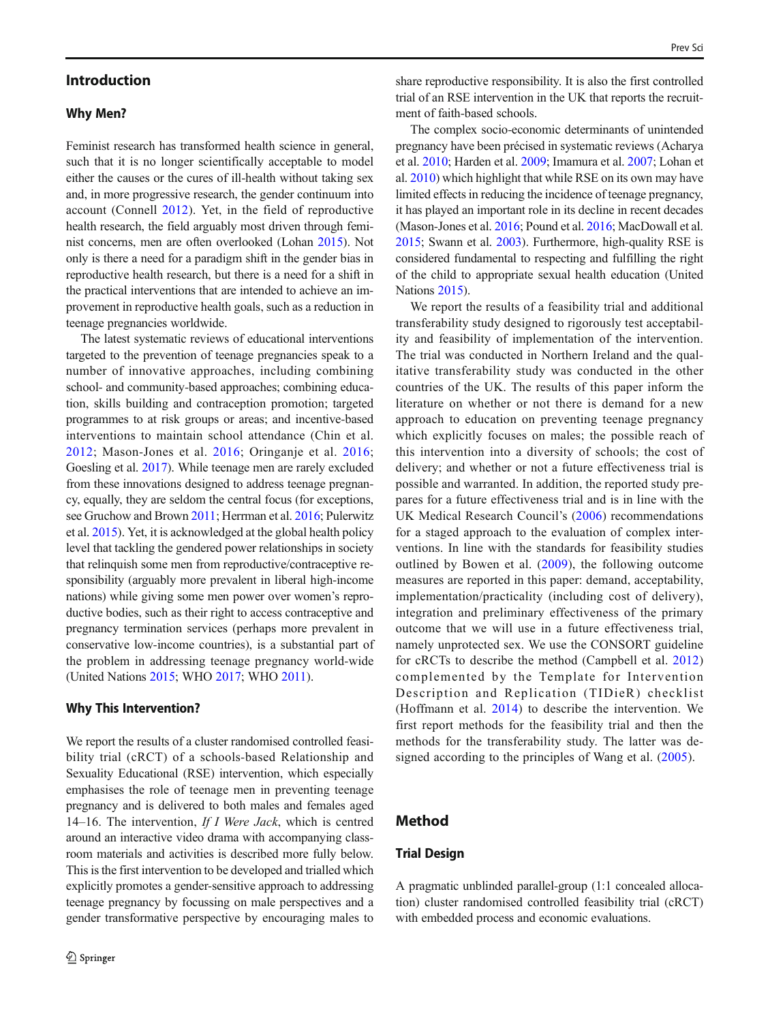# Introduction

# Why Men?

Feminist research has transformed health science in general, such that it is no longer scientifically acceptable to model either the causes or the cures of ill-health without taking sex and, in more progressive research, the gender continuum into account (Connell [2012\)](#page-10-0). Yet, in the field of reproductive health research, the field arguably most driven through feminist concerns, men are often overlooked (Lohan [2015](#page-11-0)). Not only is there a need for a paradigm shift in the gender bias in reproductive health research, but there is a need for a shift in the practical interventions that are intended to achieve an improvement in reproductive health goals, such as a reduction in teenage pregnancies worldwide.

The latest systematic reviews of educational interventions targeted to the prevention of teenage pregnancies speak to a number of innovative approaches, including combining school- and community-based approaches; combining education, skills building and contraception promotion; targeted programmes to at risk groups or areas; and incentive-based interventions to maintain school attendance (Chin et al. [2012](#page-10-0); Mason-Jones et al. [2016;](#page-11-0) Oringanje et al. [2016](#page-11-0); Goesling et al. [2017](#page-10-0)). While teenage men are rarely excluded from these innovations designed to address teenage pregnancy, equally, they are seldom the central focus (for exceptions, see Gruchow and Brown [2011](#page-10-0); Herrman et al. [2016;](#page-11-0) Pulerwitz et al. [2015\)](#page-11-0). Yet, it is acknowledged at the global health policy level that tackling the gendered power relationships in society that relinquish some men from reproductive/contraceptive responsibility (arguably more prevalent in liberal high-income nations) while giving some men power over women's reproductive bodies, such as their right to access contraceptive and pregnancy termination services (perhaps more prevalent in conservative low-income countries), is a substantial part of the problem in addressing teenage pregnancy world-wide (United Nations [2015](#page-11-0); WHO [2017](#page-11-0); WHO [2011](#page-11-0)).

#### Why This Intervention?

We report the results of a cluster randomised controlled feasibility trial (cRCT) of a schools-based Relationship and Sexuality Educational (RSE) intervention, which especially emphasises the role of teenage men in preventing teenage pregnancy and is delivered to both males and females aged 14–16. The intervention, If I Were Jack, which is centred around an interactive video drama with accompanying classroom materials and activities is described more fully below. This is the first intervention to be developed and trialled which explicitly promotes a gender-sensitive approach to addressing teenage pregnancy by focussing on male perspectives and a gender transformative perspective by encouraging males to share reproductive responsibility. It is also the first controlled trial of an RSE intervention in the UK that reports the recruitment of faith-based schools.

The complex socio-economic determinants of unintended pregnancy have been précised in systematic reviews (Acharya et al. [2010;](#page-10-0) Harden et al. [2009;](#page-11-0) Imamura et al. [2007](#page-11-0); Lohan et al. [2010](#page-11-0)) which highlight that while RSE on its own may have limited effects in reducing the incidence of teenage pregnancy, it has played an important role in its decline in recent decades (Mason-Jones et al. [2016](#page-11-0); Pound et al. [2016;](#page-11-0) MacDowall et al. [2015;](#page-11-0) Swann et al. [2003\)](#page-11-0). Furthermore, high-quality RSE is considered fundamental to respecting and fulfilling the right of the child to appropriate sexual health education (United Nations [2015](#page-11-0)).

We report the results of a feasibility trial and additional transferability study designed to rigorously test acceptability and feasibility of implementation of the intervention. The trial was conducted in Northern Ireland and the qualitative transferability study was conducted in the other countries of the UK. The results of this paper inform the literature on whether or not there is demand for a new approach to education on preventing teenage pregnancy which explicitly focuses on males; the possible reach of this intervention into a diversity of schools; the cost of delivery; and whether or not a future effectiveness trial is possible and warranted. In addition, the reported study prepares for a future effectiveness trial and is in line with the UK Medical Research Council's ([2006](#page-11-0)) recommendations for a staged approach to the evaluation of complex interventions. In line with the standards for feasibility studies outlined by Bowen et al. ([2009\)](#page-10-0), the following outcome measures are reported in this paper: demand, acceptability, implementation/practicality (including cost of delivery), integration and preliminary effectiveness of the primary outcome that we will use in a future effectiveness trial, namely unprotected sex. We use the CONSORT guideline for cRCTs to describe the method (Campbell et al. [2012\)](#page-10-0) complemented by the Template for Intervention Description and Replication (TIDieR) checklist (Hoffmann et al. [2014](#page-11-0)) to describe the intervention. We first report methods for the feasibility trial and then the methods for the transferability study. The latter was designed according to the principles of Wang et al.  $(2005)$  $(2005)$  $(2005)$ .

# Method

# Trial Design

A pragmatic unblinded parallel-group (1:1 concealed allocation) cluster randomised controlled feasibility trial (cRCT) with embedded process and economic evaluations.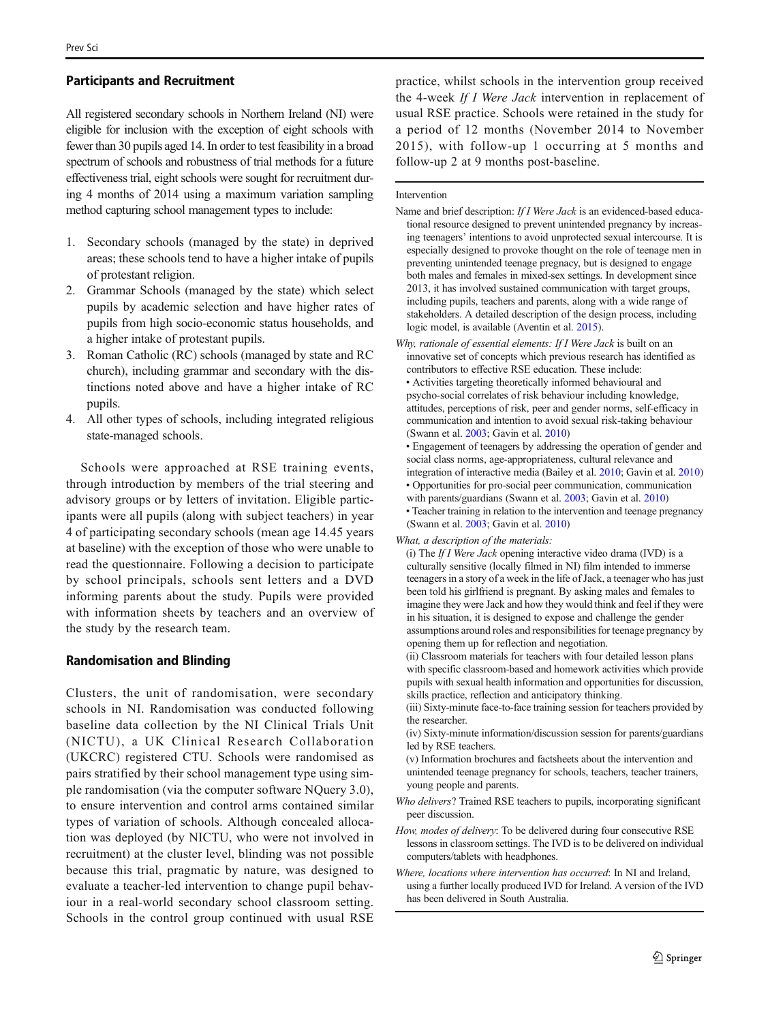# Participants and Recruitment

All registered secondary schools in Northern Ireland (NI) were eligible for inclusion with the exception of eight schools with fewer than 30 pupils aged 14. In order to test feasibility in a broad spectrum of schools and robustness of trial methods for a future effectiveness trial, eight schools were sought for recruitment during 4 months of 2014 using a maximum variation sampling method capturing school management types to include:

- 1. Secondary schools (managed by the state) in deprived areas; these schools tend to have a higher intake of pupils of protestant religion.
- 2. Grammar Schools (managed by the state) which select pupils by academic selection and have higher rates of pupils from high socio-economic status households, and a higher intake of protestant pupils.
- 3. Roman Catholic (RC) schools (managed by state and RC church), including grammar and secondary with the distinctions noted above and have a higher intake of RC pupils.
- 4. All other types of schools, including integrated religious state-managed schools.

Schools were approached at RSE training events, through introduction by members of the trial steering and advisory groups or by letters of invitation. Eligible participants were all pupils (along with subject teachers) in year 4 of participating secondary schools (mean age 14.45 years at baseline) with the exception of those who were unable to read the questionnaire. Following a decision to participate by school principals, schools sent letters and a DVD informing parents about the study. Pupils were provided with information sheets by teachers and an overview of the study by the research team.

## Randomisation and Blinding

Clusters, the unit of randomisation, were secondary schools in NI. Randomisation was conducted following baseline data collection by the NI Clinical Trials Unit (NICTU), a UK Clinical Research Collaboration (UKCRC) registered CTU. Schools were randomised as pairs stratified by their school management type using simple randomisation (via the computer software NQuery 3.0), to ensure intervention and control arms contained similar types of variation of schools. Although concealed allocation was deployed (by NICTU, who were not involved in recruitment) at the cluster level, blinding was not possible because this trial, pragmatic by nature, was designed to evaluate a teacher-led intervention to change pupil behaviour in a real-world secondary school classroom setting. Schools in the control group continued with usual RSE

practice, whilst schools in the intervention group received the 4-week If I Were Jack intervention in replacement of usual RSE practice. Schools were retained in the study for a period of 12 months (November 2014 to November 2015), with follow-up 1 occurring at 5 months and follow-up 2 at 9 months post-baseline.

#### Intervention

- Name and brief description: If I Were Jack is an evidenced-based educational resource designed to prevent unintended pregnancy by increasing teenagers' intentions to avoid unprotected sexual intercourse. It is especially designed to provoke thought on the role of teenage men in preventing unintended teenage pregnacy, but is designed to engage both males and females in mixed-sex settings. In development since 2013, it has involved sustained communication with target groups, including pupils, teachers and parents, along with a wide range of stakeholders. A detailed description of the design process, including logic model, is available (Aventin et al. [2015\)](#page-10-0).
- Why, rationale of essential elements: If I Were Jack is built on an innovative set of concepts which previous research has identified as contributors to effective RSE education. These include: • Activities targeting theoretically informed behavioural and psycho-social correlates of risk behaviour including knowledge, attitudes, perceptions of risk, peer and gender norms, self-efficacy in communication and intention to avoid sexual risk-taking behaviour (Swann et al. [2003;](#page-11-0) Gavin et al. [2010](#page-10-0))

• Engagement of teenagers by addressing the operation of gender and social class norms, age-appropriateness, cultural relevance and integration of interactive media (Bailey et al. [2010](#page-10-0); Gavin et al. [2010\)](#page-10-0)

• Opportunities for pro-social peer communication, communication with parents/guardians (Swann et al. [2003](#page-11-0); Gavin et al. [2010\)](#page-10-0) • Teacher training in relation to the intervention and teenage pregnancy (Swann et al. [2003;](#page-11-0) Gavin et al. [2010](#page-10-0))

What, a description of the materials:

(i) The If I Were Jack opening interactive video drama (IVD) is a culturally sensitive (locally filmed in NI) film intended to immerse teenagers in a story of a week in the life of Jack, a teenager who has just been told his girlfriend is pregnant. By asking males and females to imagine they were Jack and how they would think and feel if they were in his situation, it is designed to expose and challenge the gender assumptions around roles and responsibilities for teenage pregnancy by opening them up for reflection and negotiation.

(ii) Classroom materials for teachers with four detailed lesson plans with specific classroom-based and homework activities which provide pupils with sexual health information and opportunities for discussion, skills practice, reflection and anticipatory thinking.

- (iii) Sixty-minute face-to-face training session for teachers provided by the researcher.
- (iv) Sixty-minute information/discussion session for parents/guardians led by RSE teachers.
- (v) Information brochures and factsheets about the intervention and unintended teenage pregnancy for schools, teachers, teacher trainers, young people and parents.
- Who delivers? Trained RSE teachers to pupils, incorporating significant peer discussion.
- How, modes of delivery: To be delivered during four consecutive RSE lessons in classroom settings. The IVD is to be delivered on individual computers/tablets with headphones.
- Where, locations where intervention has occurred: In NI and Ireland, using a further locally produced IVD for Ireland. A version of the IVD has been delivered in South Australia.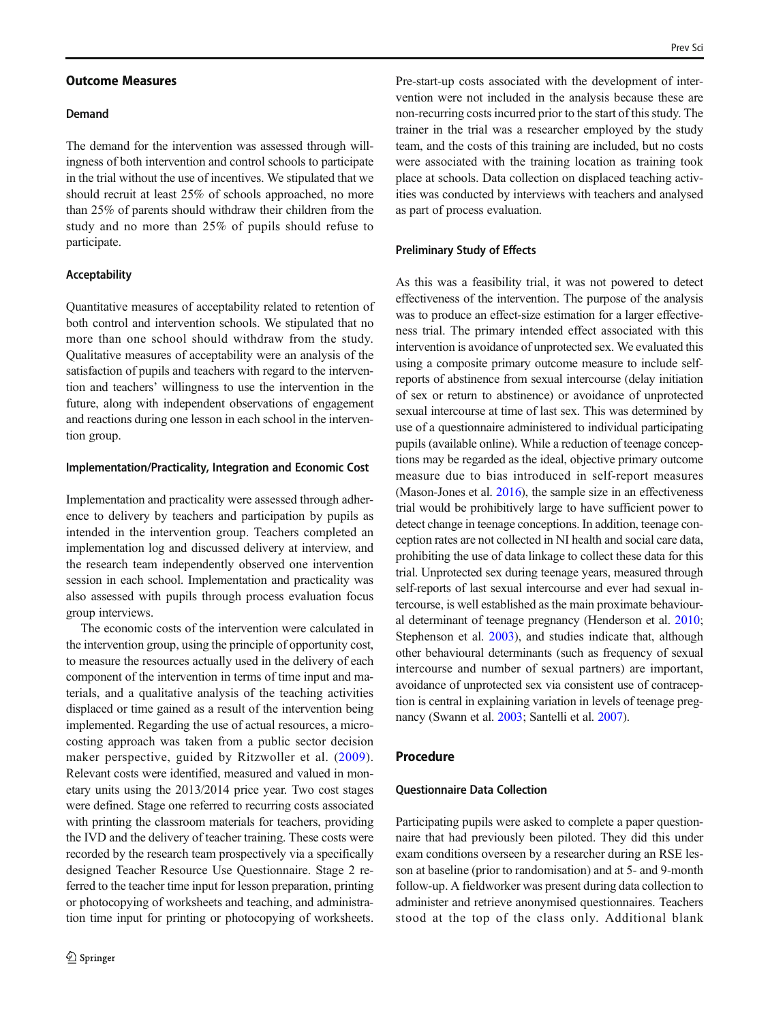#### Outcome Measures

# Demand

The demand for the intervention was assessed through willingness of both intervention and control schools to participate in the trial without the use of incentives. We stipulated that we should recruit at least 25% of schools approached, no more than 25% of parents should withdraw their children from the study and no more than 25% of pupils should refuse to participate.

#### Acceptability

Quantitative measures of acceptability related to retention of both control and intervention schools. We stipulated that no more than one school should withdraw from the study. Qualitative measures of acceptability were an analysis of the satisfaction of pupils and teachers with regard to the intervention and teachers' willingness to use the intervention in the future, along with independent observations of engagement and reactions during one lesson in each school in the intervention group.

#### Implementation/Practicality, Integration and Economic Cost

Implementation and practicality were assessed through adherence to delivery by teachers and participation by pupils as intended in the intervention group. Teachers completed an implementation log and discussed delivery at interview, and the research team independently observed one intervention session in each school. Implementation and practicality was also assessed with pupils through process evaluation focus group interviews.

The economic costs of the intervention were calculated in the intervention group, using the principle of opportunity cost, to measure the resources actually used in the delivery of each component of the intervention in terms of time input and materials, and a qualitative analysis of the teaching activities displaced or time gained as a result of the intervention being implemented. Regarding the use of actual resources, a microcosting approach was taken from a public sector decision maker perspective, guided by Ritzwoller et al. ([2009](#page-11-0)). Relevant costs were identified, measured and valued in monetary units using the 2013/2014 price year. Two cost stages were defined. Stage one referred to recurring costs associated with printing the classroom materials for teachers, providing the IVD and the delivery of teacher training. These costs were recorded by the research team prospectively via a specifically designed Teacher Resource Use Questionnaire. Stage 2 referred to the teacher time input for lesson preparation, printing or photocopying of worksheets and teaching, and administration time input for printing or photocopying of worksheets.

Pre-start-up costs associated with the development of intervention were not included in the analysis because these are non-recurring costs incurred prior to the start of this study. The trainer in the trial was a researcher employed by the study team, and the costs of this training are included, but no costs were associated with the training location as training took place at schools. Data collection on displaced teaching activities was conducted by interviews with teachers and analysed as part of process evaluation.

#### Preliminary Study of Effects

As this was a feasibility trial, it was not powered to detect effectiveness of the intervention. The purpose of the analysis was to produce an effect-size estimation for a larger effectiveness trial. The primary intended effect associated with this intervention is avoidance of unprotected sex. We evaluated this using a composite primary outcome measure to include selfreports of abstinence from sexual intercourse (delay initiation of sex or return to abstinence) or avoidance of unprotected sexual intercourse at time of last sex. This was determined by use of a questionnaire administered to individual participating pupils (available online). While a reduction of teenage conceptions may be regarded as the ideal, objective primary outcome measure due to bias introduced in self-report measures (Mason-Jones et al. [2016](#page-11-0)), the sample size in an effectiveness trial would be prohibitively large to have sufficient power to detect change in teenage conceptions. In addition, teenage conception rates are not collected in NI health and social care data, prohibiting the use of data linkage to collect these data for this trial. Unprotected sex during teenage years, measured through self-reports of last sexual intercourse and ever had sexual intercourse, is well established as the main proximate behavioural determinant of teenage pregnancy (Henderson et al. [2010;](#page-11-0) Stephenson et al. [2003\)](#page-11-0), and studies indicate that, although other behavioural determinants (such as frequency of sexual intercourse and number of sexual partners) are important, avoidance of unprotected sex via consistent use of contraception is central in explaining variation in levels of teenage pregnancy (Swann et al. [2003;](#page-11-0) Santelli et al. [2007\)](#page-11-0).

# Procedure

#### Questionnaire Data Collection

Participating pupils were asked to complete a paper questionnaire that had previously been piloted. They did this under exam conditions overseen by a researcher during an RSE lesson at baseline (prior to randomisation) and at 5- and 9-month follow-up. A fieldworker was present during data collection to administer and retrieve anonymised questionnaires. Teachers stood at the top of the class only. Additional blank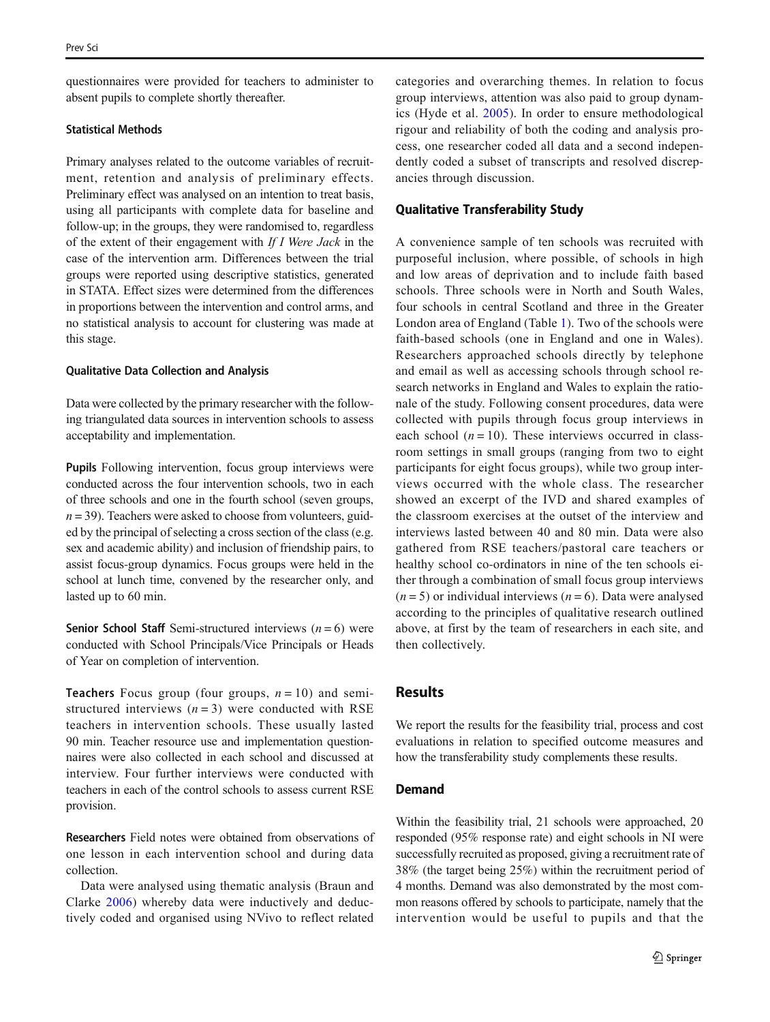questionnaires were provided for teachers to administer to absent pupils to complete shortly thereafter.

### Statistical Methods

Primary analyses related to the outcome variables of recruitment, retention and analysis of preliminary effects. Preliminary effect was analysed on an intention to treat basis, using all participants with complete data for baseline and follow-up; in the groups, they were randomised to, regardless of the extent of their engagement with If I Were Jack in the case of the intervention arm. Differences between the trial groups were reported using descriptive statistics, generated in STATA. Effect sizes were determined from the differences in proportions between the intervention and control arms, and no statistical analysis to account for clustering was made at this stage.

# Qualitative Data Collection and Analysis

Data were collected by the primary researcher with the following triangulated data sources in intervention schools to assess acceptability and implementation.

Pupils Following intervention, focus group interviews were conducted across the four intervention schools, two in each of three schools and one in the fourth school (seven groups,  $n = 39$ ). Teachers were asked to choose from volunteers, guided by the principal of selecting a cross section of the class (e.g. sex and academic ability) and inclusion of friendship pairs, to assist focus-group dynamics. Focus groups were held in the school at lunch time, convened by the researcher only, and lasted up to 60 min.

**Senior School Staff** Semi-structured interviews  $(n = 6)$  were conducted with School Principals/Vice Principals or Heads of Year on completion of intervention.

**Teachers** Focus group (four groups,  $n = 10$ ) and semistructured interviews  $(n=3)$  were conducted with RSE teachers in intervention schools. These usually lasted 90 min. Teacher resource use and implementation questionnaires were also collected in each school and discussed at interview. Four further interviews were conducted with teachers in each of the control schools to assess current RSE provision.

Researchers Field notes were obtained from observations of one lesson in each intervention school and during data collection.

Data were analysed using thematic analysis (Braun and Clarke [2006](#page-10-0)) whereby data were inductively and deductively coded and organised using NVivo to reflect related categories and overarching themes. In relation to focus group interviews, attention was also paid to group dynamics (Hyde et al. [2005](#page-11-0)). In order to ensure methodological rigour and reliability of both the coding and analysis process, one researcher coded all data and a second independently coded a subset of transcripts and resolved discrepancies through discussion.

## Qualitative Transferability Study

A convenience sample of ten schools was recruited with purposeful inclusion, where possible, of schools in high and low areas of deprivation and to include faith based schools. Three schools were in North and South Wales, four schools in central Scotland and three in the Greater London area of England (Table [1\)](#page-5-0). Two of the schools were faith-based schools (one in England and one in Wales). Researchers approached schools directly by telephone and email as well as accessing schools through school research networks in England and Wales to explain the rationale of the study. Following consent procedures, data were collected with pupils through focus group interviews in each school  $(n = 10)$ . These interviews occurred in classroom settings in small groups (ranging from two to eight participants for eight focus groups), while two group interviews occurred with the whole class. The researcher showed an excerpt of the IVD and shared examples of the classroom exercises at the outset of the interview and interviews lasted between 40 and 80 min. Data were also gathered from RSE teachers/pastoral care teachers or healthy school co-ordinators in nine of the ten schools either through a combination of small focus group interviews  $(n = 5)$  or individual interviews  $(n = 6)$ . Data were analysed according to the principles of qualitative research outlined above, at first by the team of researchers in each site, and then collectively.

# Results

We report the results for the feasibility trial, process and cost evaluations in relation to specified outcome measures and how the transferability study complements these results.

# Demand

Within the feasibility trial, 21 schools were approached, 20 responded (95% response rate) and eight schools in NI were successfully recruited as proposed, giving a recruitment rate of 38% (the target being 25%) within the recruitment period of 4 months. Demand was also demonstrated by the most common reasons offered by schools to participate, namely that the intervention would be useful to pupils and that the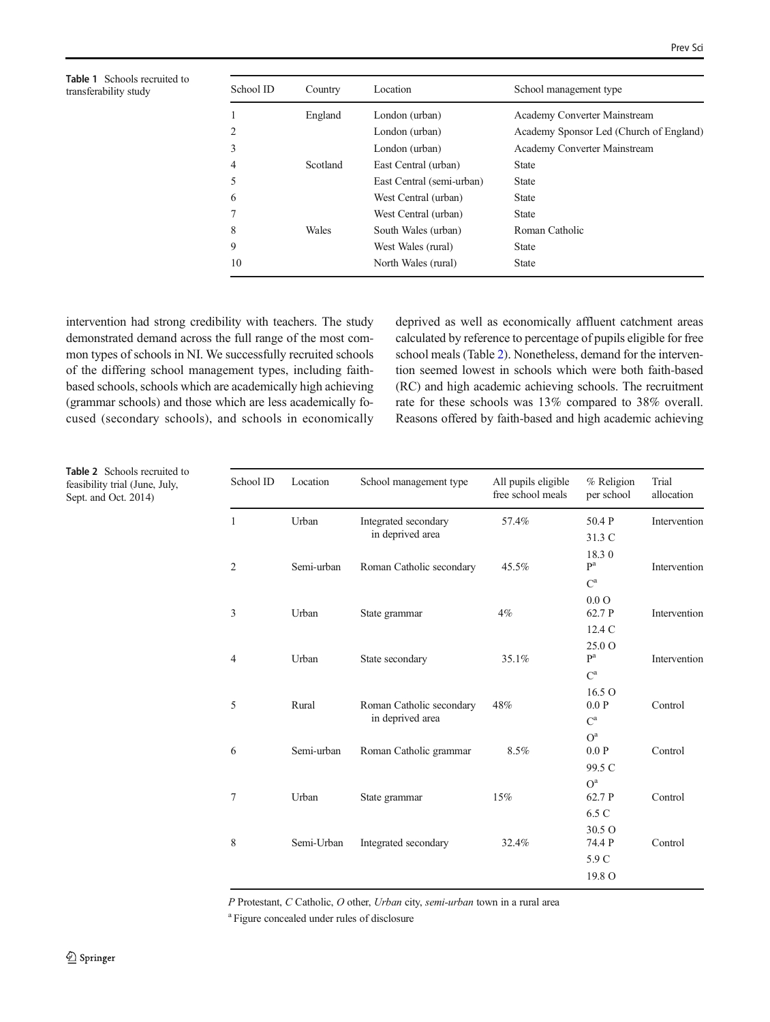<span id="page-5-0"></span>Table 1 Schools recruited to transferability study

Table 2 Schools recruited to feasibility trial (June, July, Sept. and Oct. 2014)

| School ID | Country  | Location                  | School management type                  |
|-----------|----------|---------------------------|-----------------------------------------|
|           | England  | London (urban)            | Academy Converter Mainstream            |
| 2         |          | London (urban)            | Academy Sponsor Led (Church of England) |
| 3         |          | London (urban)            | Academy Converter Mainstream            |
| 4         | Scotland | East Central (urban)      | <b>State</b>                            |
| 5         |          | East Central (semi-urban) | <b>State</b>                            |
| 6         |          | West Central (urban)      | <b>State</b>                            |
|           |          | West Central (urban)      | <b>State</b>                            |
| 8         | Wales    | South Wales (urban)       | Roman Catholic                          |
| 9         |          | West Wales (rural)        | <b>State</b>                            |
| 10        |          | North Wales (rural)       | <b>State</b>                            |

intervention had strong credibility with teachers. The study demonstrated demand across the full range of the most common types of schools in NI. We successfully recruited schools of the differing school management types, including faithbased schools, schools which are academically high achieving (grammar schools) and those which are less academically focused (secondary schools), and schools in economically deprived as well as economically affluent catchment areas calculated by reference to percentage of pupils eligible for free school meals (Table 2). Nonetheless, demand for the intervention seemed lowest in schools which were both faith-based (RC) and high academic achieving schools. The recruitment rate for these schools was 13% compared to 38% overall. Reasons offered by faith-based and high academic achieving

| School ID      | Location   | School management type                   | All pupils eligible<br>free school meals | % Religion<br>per school | Trial<br>allocation |
|----------------|------------|------------------------------------------|------------------------------------------|--------------------------|---------------------|
| $\mathbf{1}$   | Urban      | Integrated secondary<br>in deprived area | 57.4%                                    | 50.4 P                   | Intervention        |
|                |            |                                          |                                          | 31.3 C<br>18.30          |                     |
| $\overline{2}$ | Semi-urban | Roman Catholic secondary                 | 45.5%                                    | P <sup>a</sup>           | Intervention        |
|                |            |                                          |                                          | $C^a$                    |                     |
|                |            |                                          |                                          | $0.0\Omega$              |                     |
| 3              | Urban      | State grammar                            | $4\%$                                    | 62.7 P                   | Intervention        |
|                |            |                                          |                                          | 12.4C                    |                     |
| $\overline{4}$ | Urban      | State secondary                          | 35.1%                                    | 25.0 Q<br>P <sup>a</sup> | Intervention        |
|                |            |                                          |                                          | $C^a$                    |                     |
|                |            |                                          |                                          | 16.5O                    |                     |
| 5              | Rural      | Roman Catholic secondary                 | 48%                                      | 0.0 P                    | Control             |
|                |            | in deprived area                         |                                          | $C^a$                    |                     |
|                |            |                                          |                                          | O <sup>a</sup>           |                     |
| 6              | Semi-urban | Roman Catholic grammar                   | 8.5%                                     | 0.0 P                    | Control             |
|                |            |                                          |                                          | 99.5 C                   |                     |
|                |            |                                          |                                          | O <sup>a</sup>           |                     |
| 7              | Urban      | State grammar                            | 15%                                      | 62.7 P                   | Control             |
|                |            |                                          |                                          | 6.5 C                    |                     |
| 8              | Semi-Urban | Integrated secondary                     | 32.4%                                    | 30.5 O<br>74.4 P         | Control             |
|                |            |                                          |                                          | 5.9 C                    |                     |
|                |            |                                          |                                          | 19.8 O                   |                     |

P Protestant, C Catholic, O other, Urban city, semi-urban town in a rural area

<sup>a</sup> Figure concealed under rules of disclosure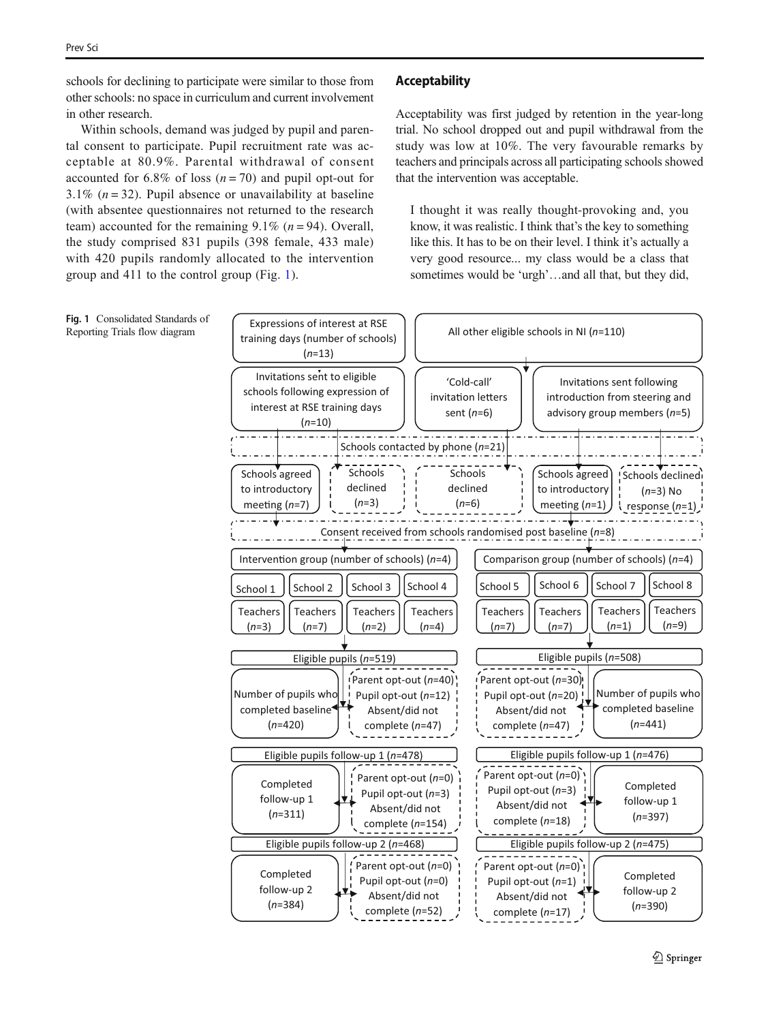schools for declining to participate were similar to those from other schools: no space in curriculum and current involvement in other research.

Within schools, demand was judged by pupil and parental consent to participate. Pupil recruitment rate was acceptable at 80.9%. Parental withdrawal of consent accounted for 6.8% of loss  $(n = 70)$  and pupil opt-out for 3.1% ( $n = 32$ ). Pupil absence or unavailability at baseline (with absentee questionnaires not returned to the research team) accounted for the remaining  $9.1\%$  ( $n = 94$ ). Overall, the study comprised 831 pupils (398 female, 433 male) with 420 pupils randomly allocated to the intervention group and 411 to the control group (Fig. 1).

# Acceptability

Acceptability was first judged by retention in the year-long trial. No school dropped out and pupil withdrawal from the study was low at 10%. The very favourable remarks by teachers and principals across all participating schools showed that the intervention was acceptable.

I thought it was really thought-provoking and, you know, it was realistic. I think that's the key to something like this. It has to be on their level. I think it's actually a very good resource... my class would be a class that sometimes would be 'urgh'...and all that, but they did,

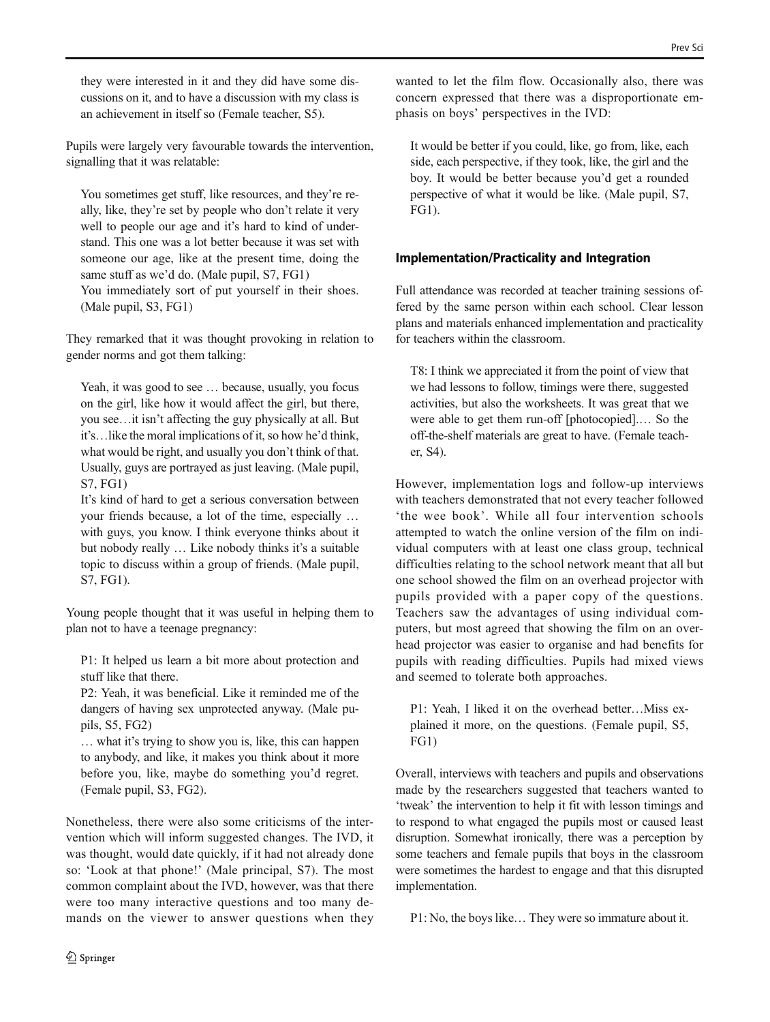they were interested in it and they did have some discussions on it, and to have a discussion with my class is an achievement in itself so (Female teacher, S5).

Pupils were largely very favourable towards the intervention, signalling that it was relatable:

You sometimes get stuff, like resources, and they're really, like, they're set by people who don't relate it very well to people our age and it's hard to kind of understand. This one was a lot better because it was set with someone our age, like at the present time, doing the same stuff as we'd do. (Male pupil, S7, FG1) You immediately sort of put yourself in their shoes. (Male pupil, S3, FG1)

They remarked that it was thought provoking in relation to gender norms and got them talking:

Yeah, it was good to see … because, usually, you focus on the girl, like how it would affect the girl, but there, you see…it isn't affecting the guy physically at all. But it's…like the moral implications of it, so how he'd think, what would be right, and usually you don't think of that. Usually, guys are portrayed as just leaving. (Male pupil, S7, FG1)

It's kind of hard to get a serious conversation between your friends because, a lot of the time, especially … with guys, you know. I think everyone thinks about it but nobody really … Like nobody thinks it's a suitable topic to discuss within a group of friends. (Male pupil, S7, FG1).

Young people thought that it was useful in helping them to plan not to have a teenage pregnancy:

P1: It helped us learn a bit more about protection and stuff like that there.

P2: Yeah, it was beneficial. Like it reminded me of the dangers of having sex unprotected anyway. (Male pupils, S5, FG2)

… what it's trying to show you is, like, this can happen to anybody, and like, it makes you think about it more before you, like, maybe do something you'd regret. (Female pupil, S3, FG2).

Nonetheless, there were also some criticisms of the intervention which will inform suggested changes. The IVD, it was thought, would date quickly, if it had not already done so: 'Look at that phone!' (Male principal, S7). The most common complaint about the IVD, however, was that there were too many interactive questions and too many demands on the viewer to answer questions when they

wanted to let the film flow. Occasionally also, there was concern expressed that there was a disproportionate emphasis on boys' perspectives in the IVD:

It would be better if you could, like, go from, like, each side, each perspective, if they took, like, the girl and the boy. It would be better because you'd get a rounded perspective of what it would be like. (Male pupil, S7, FG1).

# Implementation/Practicality and Integration

Full attendance was recorded at teacher training sessions offered by the same person within each school. Clear lesson plans and materials enhanced implementation and practicality for teachers within the classroom.

T8: I think we appreciated it from the point of view that we had lessons to follow, timings were there, suggested activities, but also the worksheets. It was great that we were able to get them run-off [photocopied].… So the off-the-shelf materials are great to have. (Female teacher, S4).

However, implementation logs and follow-up interviews with teachers demonstrated that not every teacher followed 'the wee book'. While all four intervention schools attempted to watch the online version of the film on individual computers with at least one class group, technical difficulties relating to the school network meant that all but one school showed the film on an overhead projector with pupils provided with a paper copy of the questions. Teachers saw the advantages of using individual computers, but most agreed that showing the film on an overhead projector was easier to organise and had benefits for pupils with reading difficulties. Pupils had mixed views and seemed to tolerate both approaches.

P1: Yeah, I liked it on the overhead better…Miss explained it more, on the questions. (Female pupil, S5, FG1)

Overall, interviews with teachers and pupils and observations made by the researchers suggested that teachers wanted to 'tweak' the intervention to help it fit with lesson timings and to respond to what engaged the pupils most or caused least disruption. Somewhat ironically, there was a perception by some teachers and female pupils that boys in the classroom were sometimes the hardest to engage and that this disrupted implementation.

P1: No, the boys like… They were so immature about it.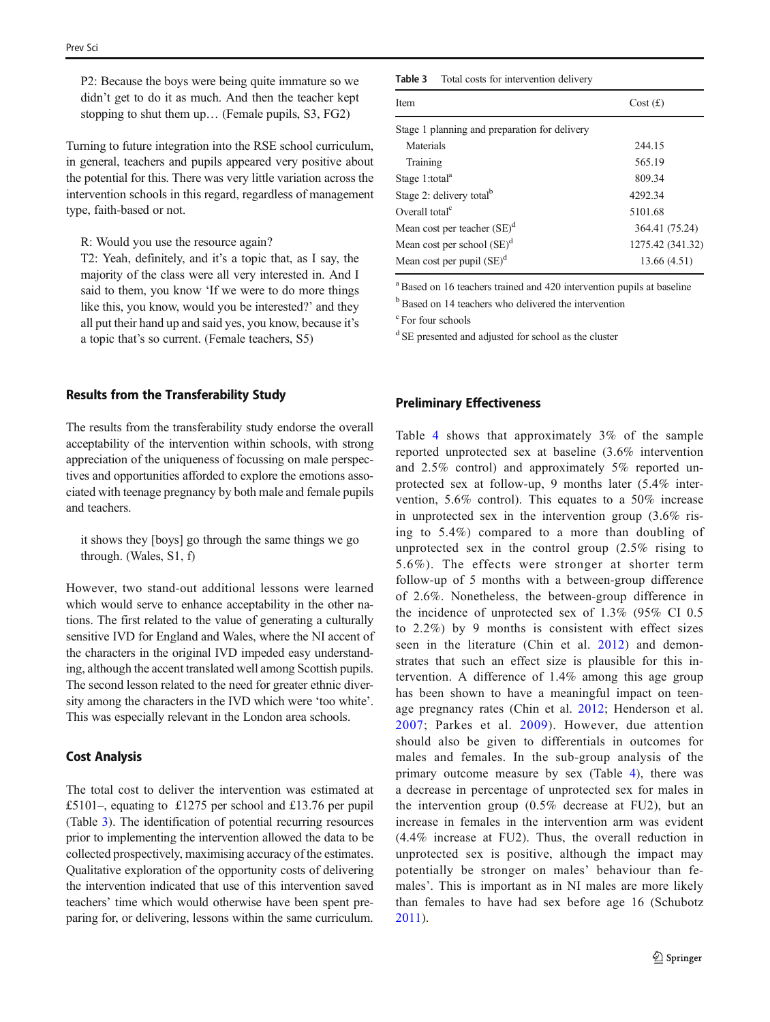P2: Because the boys were being quite immature so we didn't get to do it as much. And then the teacher kept stopping to shut them up… (Female pupils, S3, FG2)

Turning to future integration into the RSE school curriculum, in general, teachers and pupils appeared very positive about the potential for this. There was very little variation across the intervention schools in this regard, regardless of management type, faith-based or not.

R: Would you use the resource again?

T2: Yeah, definitely, and it's a topic that, as I say, the majority of the class were all very interested in. And I said to them, you know 'If we were to do more things like this, you know, would you be interested?' and they all put their hand up and said yes, you know, because it's a topic that's so current. (Female teachers, S5)

# Results from the Transferability Study

The results from the transferability study endorse the overall acceptability of the intervention within schools, with strong appreciation of the uniqueness of focussing on male perspectives and opportunities afforded to explore the emotions associated with teenage pregnancy by both male and female pupils and teachers.

it shows they [boys] go through the same things we go through. (Wales, S1, f)

However, two stand-out additional lessons were learned which would serve to enhance acceptability in the other nations. The first related to the value of generating a culturally sensitive IVD for England and Wales, where the NI accent of the characters in the original IVD impeded easy understanding, although the accent translated well among Scottish pupils. The second lesson related to the need for greater ethnic diversity among the characters in the IVD which were 'too white'. This was especially relevant in the London area schools.

## Cost Analysis

The total cost to deliver the intervention was estimated at £5101–, equating to £1275 per school and £13.76 per pupil (Table 3). The identification of potential recurring resources prior to implementing the intervention allowed the data to be collected prospectively, maximising accuracy of the estimates. Qualitative exploration of the opportunity costs of delivering the intervention indicated that use of this intervention saved teachers' time which would otherwise have been spent preparing for, or delivering, lessons within the same curriculum. Table 3 Total costs for intervention delivery

| Item                                          | Cost(f)          |
|-----------------------------------------------|------------------|
| Stage 1 planning and preparation for delivery |                  |
| Materials                                     | 244.15           |
| Training                                      | 565.19           |
| Stage 1:total <sup>a</sup>                    | 809.34           |
| Stage 2: delivery total <sup>b</sup>          | 4292.34          |
| Overall total <sup>c</sup>                    | 5101.68          |
| Mean cost per teacher $(SE)^d$                | 364.41 (75.24)   |
| Mean cost per school (SE) <sup>d</sup>        | 1275.42 (341.32) |
| Mean cost per pupil $(SE)^d$                  | 13.66 (4.51)     |

<sup>a</sup> Based on 16 teachers trained and 420 intervention pupils at baseline

<sup>b</sup> Based on 14 teachers who delivered the intervention

c For four schools

<sup>d</sup> SE presented and adjusted for school as the cluster

# Preliminary Effectiveness

Table [4](#page-9-0) shows that approximately 3% of the sample reported unprotected sex at baseline (3.6% intervention and 2.5% control) and approximately 5% reported unprotected sex at follow-up, 9 months later (5.4% intervention, 5.6% control). This equates to a 50% increase in unprotected sex in the intervention group (3.6% rising to 5.4%) compared to a more than doubling of unprotected sex in the control group (2.5% rising to 5.6%). The effects were stronger at shorter term follow-up of 5 months with a between-group difference of 2.6%. Nonetheless, the between-group difference in the incidence of unprotected sex of 1.3% (95% CI 0.5 to 2.2%) by 9 months is consistent with effect sizes seen in the literature (Chin et al. [2012](#page-10-0)) and demonstrates that such an effect size is plausible for this intervention. A difference of 1.4% among this age group has been shown to have a meaningful impact on teenage pregnancy rates (Chin et al. [2012;](#page-10-0) Henderson et al. [2007;](#page-11-0) Parkes et al. [2009](#page-11-0)). However, due attention should also be given to differentials in outcomes for males and females. In the sub-group analysis of the primary outcome measure by sex (Table [4](#page-9-0)), there was a decrease in percentage of unprotected sex for males in the intervention group (0.5% decrease at FU2), but an increase in females in the intervention arm was evident (4.4% increase at FU2). Thus, the overall reduction in unprotected sex is positive, although the impact may potentially be stronger on males' behaviour than females'. This is important as in NI males are more likely than females to have had sex before age 16 (Schubotz [2011](#page-11-0)).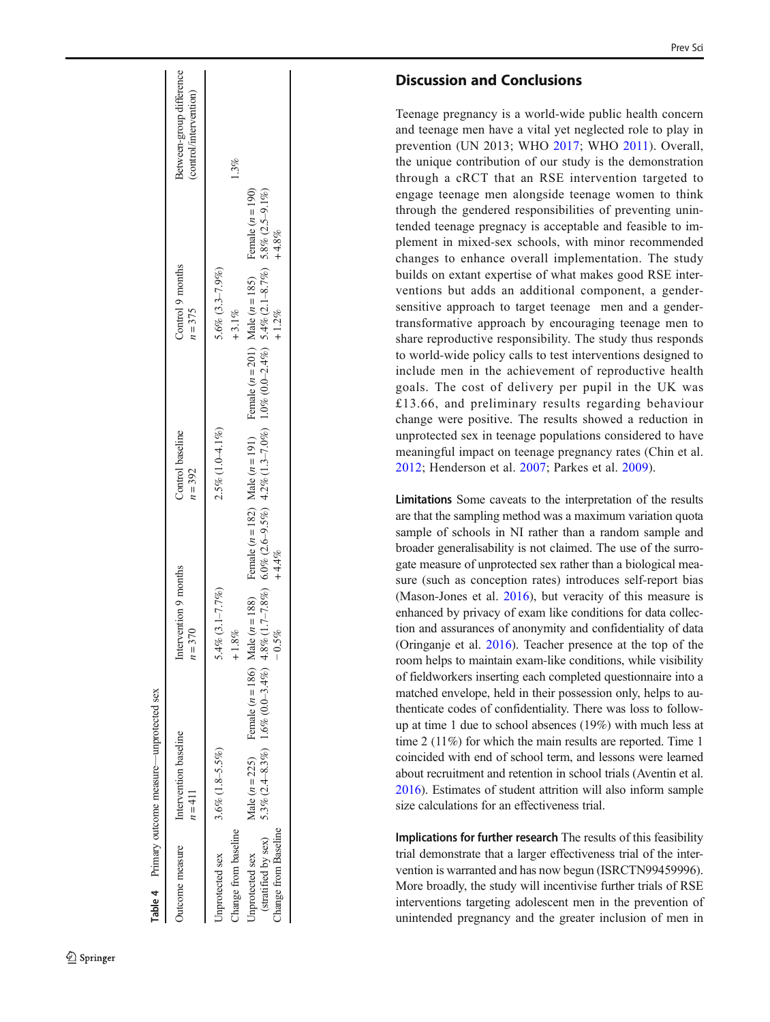<span id="page-9-0"></span>

|                                                                | Table 4 Primary outcome measure—unprotected sex            |                                                                                                                                                            |                               |                                                                                                                            |                                                    |
|----------------------------------------------------------------|------------------------------------------------------------|------------------------------------------------------------------------------------------------------------------------------------------------------------|-------------------------------|----------------------------------------------------------------------------------------------------------------------------|----------------------------------------------------|
| Jutcome measure                                                | Intervention baseline<br>$n = 411$                         | Intervention 9 months<br>$n = 370$                                                                                                                         | Control baseline<br>$n = 392$ | Control 9 months<br>$n = 375$                                                                                              | Between-group difference<br>(control/intervention) |
| <b>Jnprotected</b> sex                                         | $3.6\%$ $(1.8 - 5.5\%)$                                    | 5.4% $(3.1 - 7.7\%)$                                                                                                                                       | $2.5\%$ (1.0-4.1%)            | $5.6\%$ $(3.3-7.9\%)$                                                                                                      |                                                    |
| hange from baseline                                            |                                                            | $+1.8%$                                                                                                                                                    |                               | $+3.1\%$                                                                                                                   | $1.3\%$                                            |
| (stratified by sex)<br>Change from Baseline<br>Inprotected sex | Male ( $n = 225$ ) Female ( $n = 186$ ) Male ( $n = 188$ ) | 5.3% (2.4-8.3%) 1.6% (2.4%) 4.8%) 4.8%) 6.0% (2.6-9.3%) 4.2% (3.5%) 4.2% (3.5%) 4.8% (3.9%) 5.48.7%) 5.8% (2.48.7%) 5.8% (3.5-9.1%)<br>$+4.4\%$<br>$-0.5%$ |                               | Female ( $n = 182$ ) Male ( $n = 191$ ) Female ( $n = 201$ ) Male ( $n = 185$ ) Female ( $n = 190$ )<br>$+4.8%$<br>$+1.2%$ |                                                    |
|                                                                |                                                            |                                                                                                                                                            |                               |                                                                                                                            |                                                    |

# Discussion and Conclusions

Teenage pregnancy is a world-wide public health concern and teenage men have a vital yet neglected role to play in prevention (UN 2013; WHO [2017](#page-11-0); WHO [2011](#page-11-0)). Overall, the unique contribution of our study is the demonstration through a cRCT that an RSE intervention targeted to engage teenage men alongside teenage women to think through the gendered responsibilities of preventing unintended teenage pregnacy is acceptable and feasible to implement in mixed-sex schools, with minor recommended changes to enhance overall implementation. The study builds on extant expertise of what makes good RSE interventions but adds an additional component, a gendersensitive approach to target teenage men and a gendertransformative approach by encouraging teenage men to share reproductive responsibility. The study thus responds to world-wide policy calls to test interventions designed to include men in the achievement of reproductive health goals. The cost of delivery per pupil in the UK was £13.66, and preliminary results regarding behaviour change were positive. The results showed a reduction in unprotected sex in teenage populations considered to have meaningful impact on teenage pregnancy rates (Chin et al. [2012](#page-10-0); Henderson et al. [2007;](#page-11-0) Parkes et al. [2009\)](#page-11-0).

Limitations Some caveats to the interpretation of the results are that the sampling method was a maximum variation quota sample of schools in NI rather than a random sample and broader generalisability is not claimed. The use of the surrogate measure of unprotected sex rather than a biological measure (such as conception rates) introduces self-report bias (Mason-Jones et al. [2016\)](#page-11-0), but veracity of this measure is enhanced by privacy of exam like conditions for data collection and assurances of anonymity and confidentiality of data (Oringanje et al. [2016\)](#page-11-0). Teacher presence at the top of the room helps to maintain exam-like conditions, while visibility of fieldworkers inserting each completed questionnaire into a matched envelope, held in their possession only, helps to authenticate codes of confidentiality. There was loss to followup at time 1 due to school absences (19%) with much less at time 2 (11%) for which the main results are reported. Time 1 coincided with end of school term, and lessons were learned about recruitment and retention in school trials (Aventin et al. [2016\)](#page-10-0). Estimates of student attrition will also inform sample size calculations for an effectiveness trial.

Implications for further research The results of this feasibility trial demonstrate that a larger effectiveness trial of the intervention is warranted and has now begun (ISRCTN99459996). More broadly, the study will incentivise further trials of RSE interventions targeting adolescent men in the prevention of unintended pregnancy and the greater inclusion of men in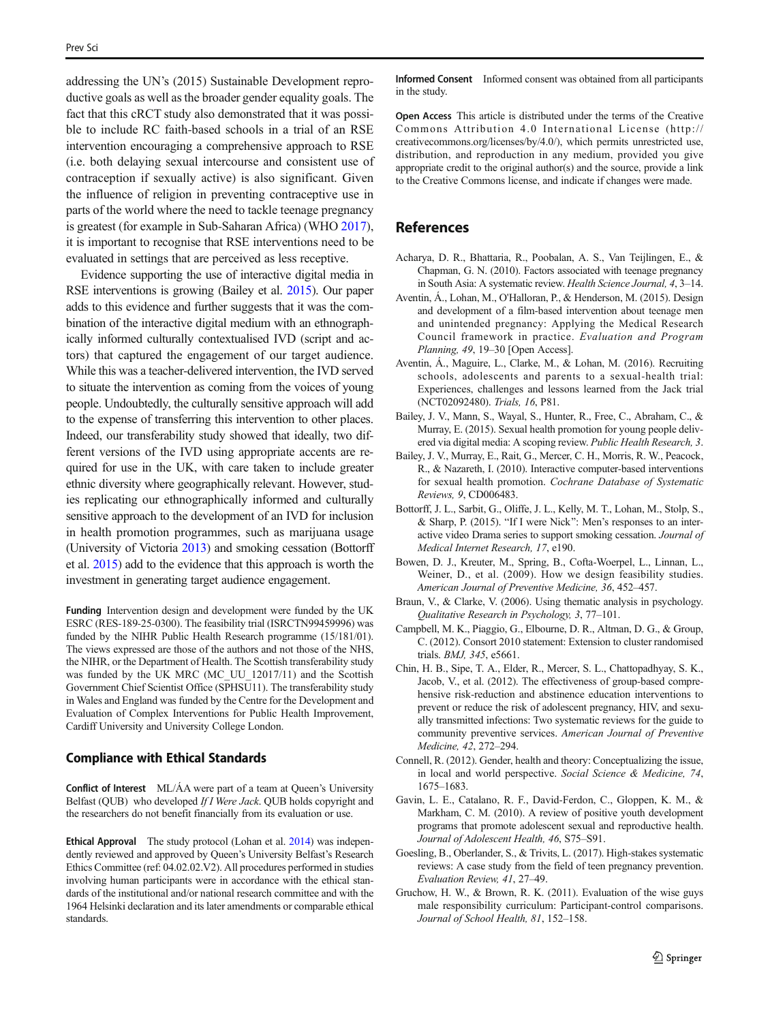<span id="page-10-0"></span>addressing the UN's (2015) Sustainable Development reproductive goals as well as the broader gender equality goals. The fact that this cRCT study also demonstrated that it was possible to include RC faith-based schools in a trial of an RSE intervention encouraging a comprehensive approach to RSE (i.e. both delaying sexual intercourse and consistent use of contraception if sexually active) is also significant. Given the influence of religion in preventing contraceptive use in parts of the world where the need to tackle teenage pregnancy is greatest (for example in Sub-Saharan Africa) (WHO [2017\)](#page-11-0), it is important to recognise that RSE interventions need to be evaluated in settings that are perceived as less receptive.

Evidence supporting the use of interactive digital media in RSE interventions is growing (Bailey et al. 2015). Our paper adds to this evidence and further suggests that it was the combination of the interactive digital medium with an ethnographically informed culturally contextualised IVD (script and actors) that captured the engagement of our target audience. While this was a teacher-delivered intervention, the IVD served to situate the intervention as coming from the voices of young people. Undoubtedly, the culturally sensitive approach will add to the expense of transferring this intervention to other places. Indeed, our transferability study showed that ideally, two different versions of the IVD using appropriate accents are required for use in the UK, with care taken to include greater ethnic diversity where geographically relevant. However, studies replicating our ethnographically informed and culturally sensitive approach to the development of an IVD for inclusion in health promotion programmes, such as marijuana usage (University of Victoria [2013\)](#page-11-0) and smoking cessation (Bottorff et al. 2015) add to the evidence that this approach is worth the investment in generating target audience engagement.

Funding Intervention design and development were funded by the UK ESRC (RES-189-25-0300). The feasibility trial (ISRCTN99459996) was funded by the NIHR Public Health Research programme (15/181/01). The views expressed are those of the authors and not those of the NHS, the NIHR, or the Department of Health. The Scottish transferability study was funded by the UK MRC (MC\_UU\_12017/11) and the Scottish Government Chief Scientist Office (SPHSU11). The transferability study in Wales and England was funded by the Centre for the Development and Evaluation of Complex Interventions for Public Health Improvement, Cardiff University and University College London.

#### Compliance with Ethical Standards

Conflict of Interest ML/ÁA were part of a team at Queen's University Belfast (QUB) who developed If I Were Jack. QUB holds copyright and the researchers do not benefit financially from its evaluation or use.

Ethical Approval The study protocol (Lohan et al. [2014](#page-11-0)) was independently reviewed and approved by Queen's University Belfast's Research Ethics Committee (ref: 04.02.02.V2). All procedures performed in studies involving human participants were in accordance with the ethical standards of the institutional and/or national research committee and with the 1964 Helsinki declaration and its later amendments or comparable ethical standards.

Informed Consent Informed consent was obtained from all participants in the study.

Open Access This article is distributed under the terms of the Creative Commons Attribution 4.0 International License (http:// creativecommons.org/licenses/by/4.0/), which permits unrestricted use, distribution, and reproduction in any medium, provided you give appropriate credit to the original author(s) and the source, provide a link to the Creative Commons license, and indicate if changes were made.

# References

- Acharya, D. R., Bhattaria, R., Poobalan, A. S., Van Teijlingen, E., & Chapman, G. N. (2010). Factors associated with teenage pregnancy in South Asia: A systematic review. Health Science Journal, 4, 3–14.
- Aventin, Á., Lohan, M., O'Halloran, P., & Henderson, M. (2015). Design and development of a film-based intervention about teenage men and unintended pregnancy: Applying the Medical Research Council framework in practice. Evaluation and Program Planning, 49, 19–30 [Open Access].
- Aventin, Á., Maguire, L., Clarke, M., & Lohan, M. (2016). Recruiting schools, adolescents and parents to a sexual-health trial: Experiences, challenges and lessons learned from the Jack trial (NCT02092480). Trials, 16, P81.
- Bailey, J. V., Mann, S., Wayal, S., Hunter, R., Free, C., Abraham, C., & Murray, E. (2015). Sexual health promotion for young people delivered via digital media: A scoping review. Public Health Research, 3.
- Bailey, J. V., Murray, E., Rait, G., Mercer, C. H., Morris, R. W., Peacock, R., & Nazareth, I. (2010). Interactive computer-based interventions for sexual health promotion. Cochrane Database of Systematic Reviews, 9, CD006483.
- Bottorff, J. L., Sarbit, G., Oliffe, J. L., Kelly, M. T., Lohan, M., Stolp, S., & Sharp, P. (2015). "If I were Nick": Men's responses to an interactive video Drama series to support smoking cessation. Journal of Medical Internet Research, 17, e190.
- Bowen, D. J., Kreuter, M., Spring, B., Cofta-Woerpel, L., Linnan, L., Weiner, D., et al. (2009). How we design feasibility studies. American Journal of Preventive Medicine, 36, 452–457.
- Braun, V., & Clarke, V. (2006). Using thematic analysis in psychology. Qualitative Research in Psychology, 3, 77–101.
- Campbell, M. K., Piaggio, G., Elbourne, D. R., Altman, D. G., & Group, C. (2012). Consort 2010 statement: Extension to cluster randomised trials. BMJ, 345, e5661.
- Chin, H. B., Sipe, T. A., Elder, R., Mercer, S. L., Chattopadhyay, S. K., Jacob, V., et al. (2012). The effectiveness of group-based comprehensive risk-reduction and abstinence education interventions to prevent or reduce the risk of adolescent pregnancy, HIV, and sexually transmitted infections: Two systematic reviews for the guide to community preventive services. American Journal of Preventive Medicine, 42, 272–294.
- Connell, R. (2012). Gender, health and theory: Conceptualizing the issue, in local and world perspective. Social Science & Medicine, 74, 1675–1683.
- Gavin, L. E., Catalano, R. F., David-Ferdon, C., Gloppen, K. M., & Markham, C. M. (2010). A review of positive youth development programs that promote adolescent sexual and reproductive health. Journal of Adolescent Health, 46, S75–S91.
- Goesling, B., Oberlander, S., & Trivits, L. (2017). High-stakes systematic reviews: A case study from the field of teen pregnancy prevention. Evaluation Review, 41, 27–49.
- Gruchow, H. W., & Brown, R. K. (2011). Evaluation of the wise guys male responsibility curriculum: Participant-control comparisons. Journal of School Health, 81, 152–158.